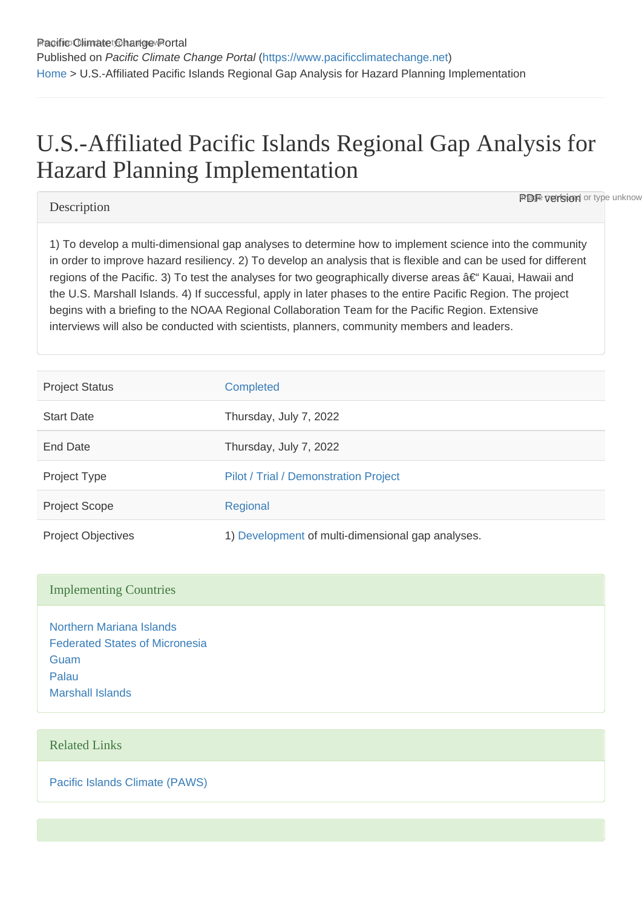# U.S.-Affiliated Pacific Islands Regional Gap Analysis for Hazard Planning Implementation

### **Description**

**PDF version** or type unknow

1) To develop a multi-dimensional gap analyses to determine how to implement science into the community in order to improve hazard resiliency. 2) To develop an analysis that is flexible and can be used for different regions of the Pacific. 3) To test the analyses for two geographically diverse areas †Kauai, Hawaii and the U.S. Marshall Islands. 4) If successful, apply in later phases to the entire Pacific Region. The project begins with a briefing to the NOAA Regional Collaboration Team for the Pacific Region. Extensive interviews will also be conducted with scientists, planners, community members and leaders.

| <b>Project Status</b>     | <b>Completed</b>                                  |
|---------------------------|---------------------------------------------------|
| <b>Start Date</b>         | Thursday, July 7, 2022                            |
| <b>End Date</b>           | Thursday, July 7, 2022                            |
| Project Type              | Pilot / Trial / Demonstration Project             |
| <b>Project Scope</b>      | Regional                                          |
| <b>Project Objectives</b> | 1) Development of multi-dimensional gap analyses. |

#### Implementing Countries

[Northern Mariana Islands](https://www.pacificclimatechange.net/node/9567) [Federated States of Micronesia](https://www.pacificclimatechange.net/node/9482) [Guam](https://www.pacificclimatechange.net/node/9506) [Palau](https://www.pacificclimatechange.net/node/57) [Marshall Islands](https://www.pacificclimatechange.net/node/53)

## Related Links

[Pacific Islands Climate \(PAWS\)](http://pacificislandsclimate.org/pawz/)